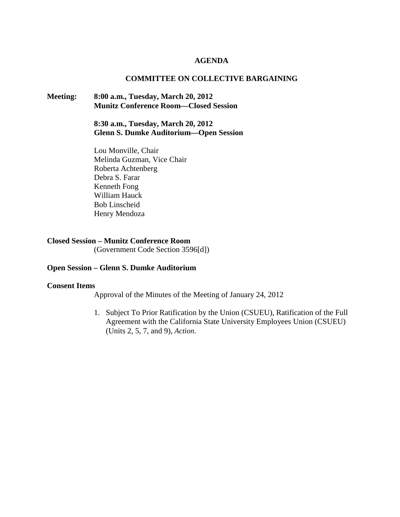#### **AGENDA**

#### **COMMITTEE ON COLLECTIVE BARGAINING**

# **Meeting: 8:00 a.m., Tuesday, March 20, 2012 Munitz Conference Room—Closed Session**

**8:30 a.m., Tuesday, March 20, 2012 Glenn S. Dumke Auditorium—Open Session**

Lou Monville, Chair Melinda Guzman, Vice Chair Roberta Achtenberg Debra S. Farar Kenneth Fong William Hauck Bob Linscheid Henry Mendoza

#### **Closed Session – Munitz Conference Room**

(Government Code Section 3596[d])

### **Open Session – Glenn S. Dumke Auditorium**

#### **Consent Items**

Approval of the Minutes of the Meeting of January 24, 2012

1. Subject To Prior Ratification by the Union (CSUEU), Ratification of the Full Agreement with the California State University Employees Union (CSUEU) (Units 2, 5, 7, and 9), *Action*.